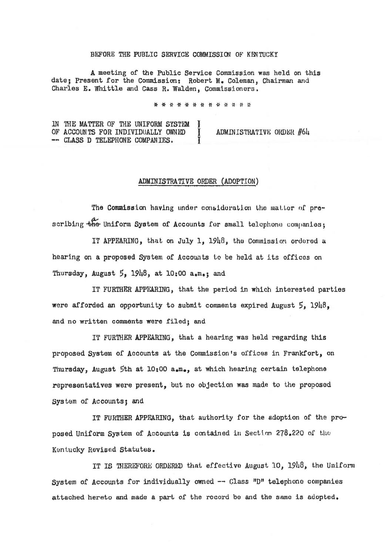## BEFORE THE PUBLIC SERVICE COMMISSION OF KENTUCKY

A meeting of the Public Service Commission was held on this date; Present for the Commission: Robert M. Coleman. Chairman and Charles E. Whittle and Cass R. Walden, Commissioners.

\* \* \* \* \* \* \* \* \* \* \* \* \*

IN THE MATTER OF THE UNIFORM SYSTEM توريح OF ACCOUNTS FOR INDIVIDUALLY OWNED ADMINISTRATIVE ORDER #64 -- CLASS D TELEPHONE COMPANIES.

## ADMINISTRATIVE ORDER (ADOPTION)

The Commission having under consideration the matter of prescribing the Uniform System of Accounts for small telephone companies;

IT APPEARING, that on July 1, 1948, the Commission ordered a hearing on a proposed System of Accounts to be held at its offices on Thursday, August  $5$ ,  $1948$ , at  $10:00$  a.m.: and

IT FURTHER APPEARING, that the period in which interested parties were afforded an opportunity to submit comments expired August  $5.1948$ . and no written comments were filed; and

IT FURTHER APPEARING, that a hearing was held regarding this proposed System of Accounts at the Commission's offices in Frankfort, on Thursday, August 5th at 10:00 a.m., at which hearing certain telephone representatives were present, but no objection was made to the proposed System of Accounts; and

IT FURTHER APPEARING, that authority for the sdoption of the proposed Uniform System of Accounts is contained in Section 278.220 of the Kentucky Revised Statutes.

IT IS THEREFORE ORDERED that effective August 10, 1948, the Uniform System of Accounts for individually owned -- Class "D" telephone companies attached hereto and made a part of the record be and the same is adopted.